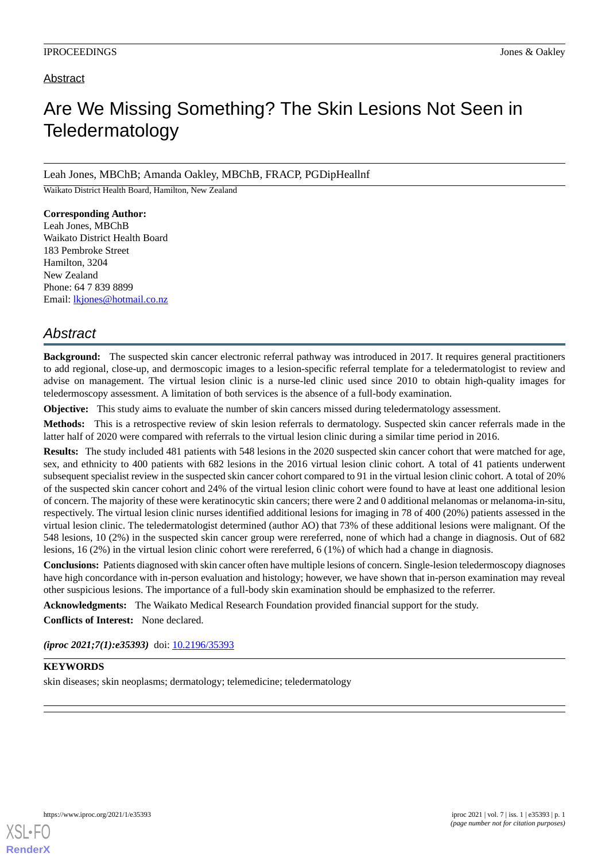## Abstract

# Are We Missing Something? The Skin Lesions Not Seen in Teledermatology

Leah Jones, MBChB; Amanda Oakley, MBChB, FRACP, PGDipHeallnf

Waikato District Health Board, Hamilton, New Zealand

**Corresponding Author:** Leah Jones, MBChB Waikato District Health Board 183 Pembroke Street Hamilton, 3204 New Zealand Phone: 64 7 839 8899 Email: [lkjones@hotmail.co.nz](mailto:lkjones@hotmail.co.nz)

## *Abstract*

**Background:** The suspected skin cancer electronic referral pathway was introduced in 2017. It requires general practitioners to add regional, close-up, and dermoscopic images to a lesion-specific referral template for a teledermatologist to review and advise on management. The virtual lesion clinic is a nurse-led clinic used since 2010 to obtain high-quality images for teledermoscopy assessment. A limitation of both services is the absence of a full-body examination.

**Objective:** This study aims to evaluate the number of skin cancers missed during teledermatology assessment.

**Methods:** This is a retrospective review of skin lesion referrals to dermatology. Suspected skin cancer referrals made in the latter half of 2020 were compared with referrals to the virtual lesion clinic during a similar time period in 2016.

**Results:** The study included 481 patients with 548 lesions in the 2020 suspected skin cancer cohort that were matched for age, sex, and ethnicity to 400 patients with 682 lesions in the 2016 virtual lesion clinic cohort. A total of 41 patients underwent subsequent specialist review in the suspected skin cancer cohort compared to 91 in the virtual lesion clinic cohort. A total of 20% of the suspected skin cancer cohort and 24% of the virtual lesion clinic cohort were found to have at least one additional lesion of concern. The majority of these were keratinocytic skin cancers; there were 2 and 0 additional melanomas or melanoma-in-situ, respectively. The virtual lesion clinic nurses identified additional lesions for imaging in 78 of 400 (20%) patients assessed in the virtual lesion clinic. The teledermatologist determined (author AO) that 73% of these additional lesions were malignant. Of the 548 lesions, 10 (2%) in the suspected skin cancer group were rereferred, none of which had a change in diagnosis. Out of 682 lesions, 16 (2%) in the virtual lesion clinic cohort were rereferred, 6 (1%) of which had a change in diagnosis.

**Conclusions:** Patients diagnosed with skin cancer often have multiple lesions of concern. Single-lesion teledermoscopy diagnoses have high concordance with in-person evaluation and histology; however, we have shown that in-person examination may reveal other suspicious lesions. The importance of a full-body skin examination should be emphasized to the referrer.

**Acknowledgments:** The Waikato Medical Research Foundation provided financial support for the study.

**Conflicts of Interest:** None declared.

*(iproc 2021;7(1):e35393)* doi:  $10.2196/35393$ 

#### **KEYWORDS**

skin diseases; skin neoplasms; dermatology; telemedicine; teledermatology